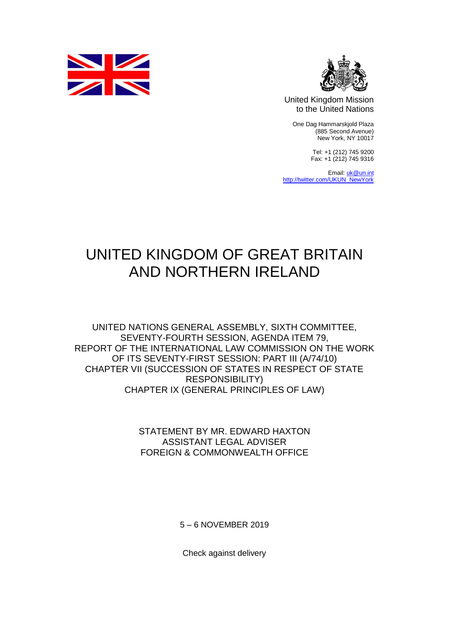



United Kingdom Mission to the United Nations

One Dag Hammarskjold Plaza (885 Second Avenue) New York, NY 10017

> Tel: +1 (212) 745 9200 Fax: +1 (212) 745 9316

Email[: uk@un.int](mailto:uk@un.int) [http://twitter.com/UKUN\\_NewYork](http://twitter.com/UKUN_NewYork)

## UNITED KINGDOM OF GREAT BRITAIN AND NORTHERN IRELAND

UNITED NATIONS GENERAL ASSEMBLY, SIXTH COMMITTEE, SEVENTY-FOURTH SESSION, AGENDA ITEM 79, REPORT OF THE INTERNATIONAL LAW COMMISSION ON THE WORK OF ITS SEVENTY-FIRST SESSION: PART III (A/74/10) CHAPTER VII (SUCCESSION OF STATES IN RESPECT OF STATE RESPONSIBILITY) CHAPTER IX (GENERAL PRINCIPLES OF LAW)

> STATEMENT BY MR. EDWARD HAXTON ASSISTANT LEGAL ADVISER FOREIGN & COMMONWEALTH OFFICE

> > 5 – 6 NOVEMBER 2019

Check against delivery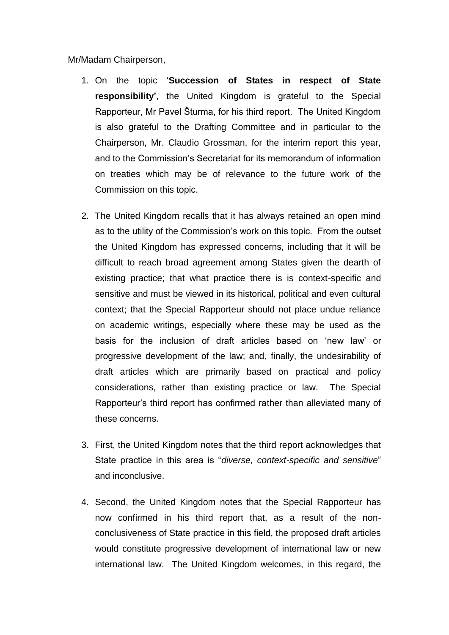Mr/Madam Chairperson,

- 1. On the topic '**Succession of States in respect of State responsibility'**, the United Kingdom is grateful to the Special Rapporteur, Mr Pavel Šturma, for his third report. The United Kingdom is also grateful to the Drafting Committee and in particular to the Chairperson, Mr. Claudio Grossman, for the interim report this year, and to the Commission's Secretariat for its memorandum of information on treaties which may be of relevance to the future work of the Commission on this topic.
- 2. The United Kingdom recalls that it has always retained an open mind as to the utility of the Commission's work on this topic. From the outset the United Kingdom has expressed concerns, including that it will be difficult to reach broad agreement among States given the dearth of existing practice; that what practice there is is context-specific and sensitive and must be viewed in its historical, political and even cultural context; that the Special Rapporteur should not place undue reliance on academic writings, especially where these may be used as the basis for the inclusion of draft articles based on 'new law' or progressive development of the law; and, finally, the undesirability of draft articles which are primarily based on practical and policy considerations, rather than existing practice or law. The Special Rapporteur's third report has confirmed rather than alleviated many of these concerns.
- 3. First, the United Kingdom notes that the third report acknowledges that State practice in this area is "*diverse, context-specific and sensitive*" and inconclusive.
- 4. Second, the United Kingdom notes that the Special Rapporteur has now confirmed in his third report that, as a result of the nonconclusiveness of State practice in this field, the proposed draft articles would constitute progressive development of international law or new international law. The United Kingdom welcomes, in this regard, the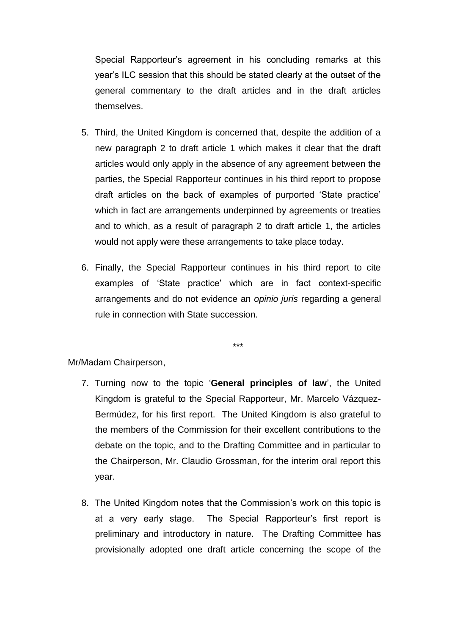Special Rapporteur's agreement in his concluding remarks at this year's ILC session that this should be stated clearly at the outset of the general commentary to the draft articles and in the draft articles themselves.

- 5. Third, the United Kingdom is concerned that, despite the addition of a new paragraph 2 to draft article 1 which makes it clear that the draft articles would only apply in the absence of any agreement between the parties, the Special Rapporteur continues in his third report to propose draft articles on the back of examples of purported 'State practice' which in fact are arrangements underpinned by agreements or treaties and to which, as a result of paragraph 2 to draft article 1, the articles would not apply were these arrangements to take place today.
- 6. Finally, the Special Rapporteur continues in his third report to cite examples of 'State practice' which are in fact context-specific arrangements and do not evidence an *opinio juris* regarding a general rule in connection with State succession.

\*\*\*

Mr/Madam Chairperson,

- 7. Turning now to the topic '**General principles of law**', the United Kingdom is grateful to the Special Rapporteur, Mr. Marcelo Vázquez-Bermúdez, for his first report. The United Kingdom is also grateful to the members of the Commission for their excellent contributions to the debate on the topic, and to the Drafting Committee and in particular to the Chairperson, Mr. Claudio Grossman, for the interim oral report this year.
- 8. The United Kingdom notes that the Commission's work on this topic is at a very early stage. The Special Rapporteur's first report is preliminary and introductory in nature. The Drafting Committee has provisionally adopted one draft article concerning the scope of the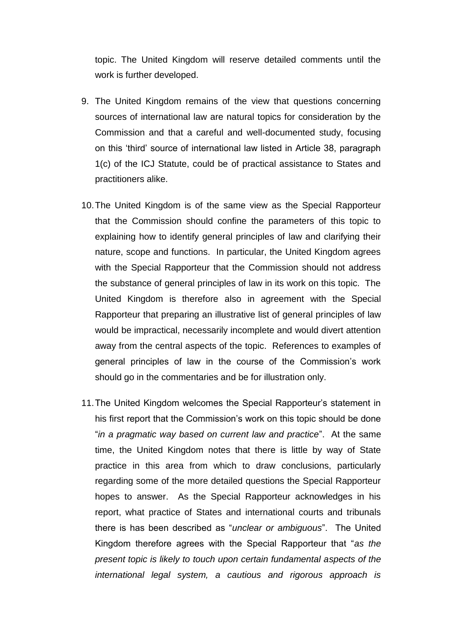topic. The United Kingdom will reserve detailed comments until the work is further developed.

- 9. The United Kingdom remains of the view that questions concerning sources of international law are natural topics for consideration by the Commission and that a careful and well-documented study, focusing on this 'third' source of international law listed in Article 38, paragraph 1(c) of the ICJ Statute, could be of practical assistance to States and practitioners alike.
- 10.The United Kingdom is of the same view as the Special Rapporteur that the Commission should confine the parameters of this topic to explaining how to identify general principles of law and clarifying their nature, scope and functions. In particular, the United Kingdom agrees with the Special Rapporteur that the Commission should not address the substance of general principles of law in its work on this topic. The United Kingdom is therefore also in agreement with the Special Rapporteur that preparing an illustrative list of general principles of law would be impractical, necessarily incomplete and would divert attention away from the central aspects of the topic. References to examples of general principles of law in the course of the Commission's work should go in the commentaries and be for illustration only.
- 11.The United Kingdom welcomes the Special Rapporteur's statement in his first report that the Commission's work on this topic should be done "*in a pragmatic way based on current law and practice*". At the same time, the United Kingdom notes that there is little by way of State practice in this area from which to draw conclusions, particularly regarding some of the more detailed questions the Special Rapporteur hopes to answer. As the Special Rapporteur acknowledges in his report, what practice of States and international courts and tribunals there is has been described as "*unclear or ambiguous*". The United Kingdom therefore agrees with the Special Rapporteur that "*as the present topic is likely to touch upon certain fundamental aspects of the international legal system, a cautious and rigorous approach is*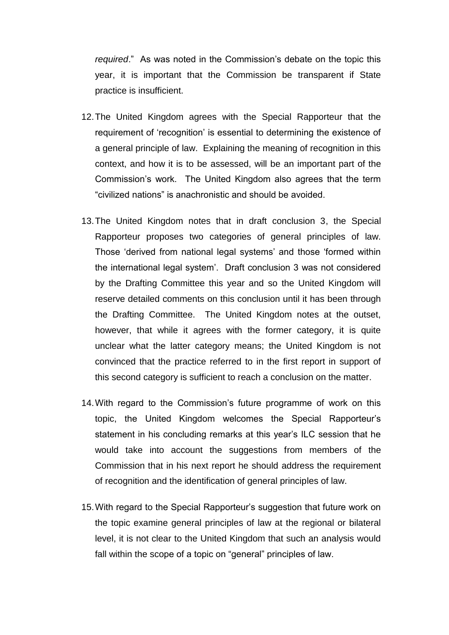*required*." As was noted in the Commission's debate on the topic this year, it is important that the Commission be transparent if State practice is insufficient.

- 12.The United Kingdom agrees with the Special Rapporteur that the requirement of 'recognition' is essential to determining the existence of a general principle of law. Explaining the meaning of recognition in this context, and how it is to be assessed, will be an important part of the Commission's work. The United Kingdom also agrees that the term "civilized nations" is anachronistic and should be avoided.
- 13.The United Kingdom notes that in draft conclusion 3, the Special Rapporteur proposes two categories of general principles of law. Those 'derived from national legal systems' and those 'formed within the international legal system'. Draft conclusion 3 was not considered by the Drafting Committee this year and so the United Kingdom will reserve detailed comments on this conclusion until it has been through the Drafting Committee. The United Kingdom notes at the outset, however, that while it agrees with the former category, it is quite unclear what the latter category means; the United Kingdom is not convinced that the practice referred to in the first report in support of this second category is sufficient to reach a conclusion on the matter.
- 14.With regard to the Commission's future programme of work on this topic, the United Kingdom welcomes the Special Rapporteur's statement in his concluding remarks at this year's ILC session that he would take into account the suggestions from members of the Commission that in his next report he should address the requirement of recognition and the identification of general principles of law.
- 15.With regard to the Special Rapporteur's suggestion that future work on the topic examine general principles of law at the regional or bilateral level, it is not clear to the United Kingdom that such an analysis would fall within the scope of a topic on "general" principles of law.